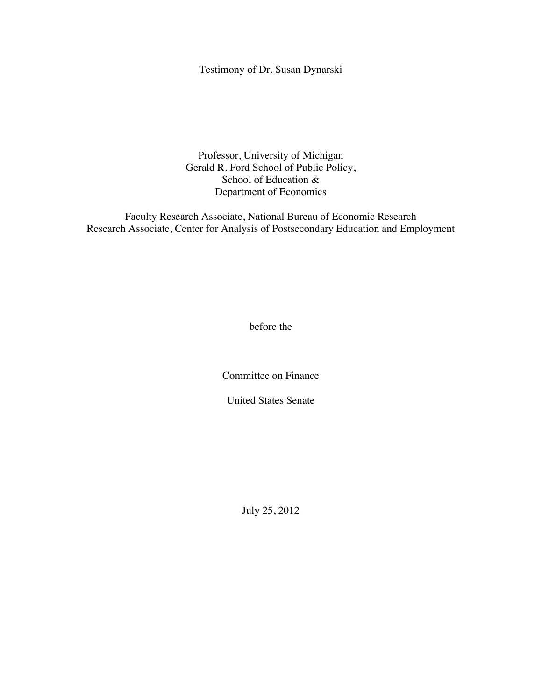# Testimony of Dr. Susan Dynarski

Professor, University of Michigan Gerald R. Ford School of Public Policy, School of Education & Department of Economics

Faculty Research Associate, National Bureau of Economic Research Research Associate, Center for Analysis of Postsecondary Education and Employment

before the

Committee on Finance

United States Senate

July 25, 2012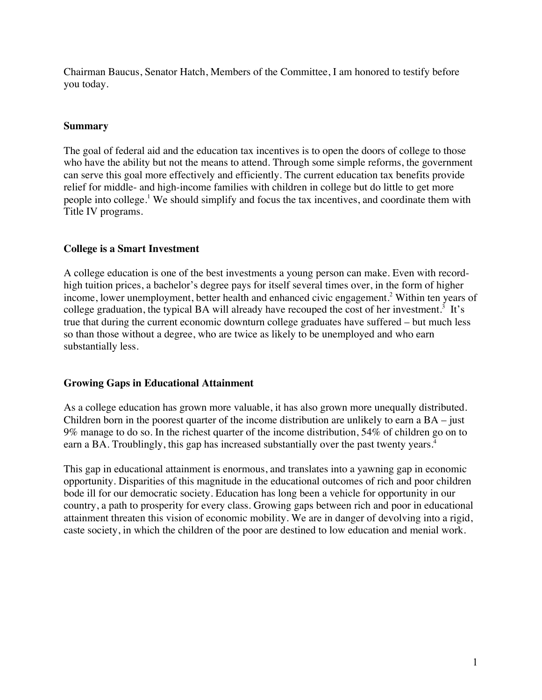Chairman Baucus, Senator Hatch, Members of the Committee, I am honored to testify before you today.

### **Summary**

The goal of federal aid and the education tax incentives is to open the doors of college to those who have the ability but not the means to attend. Through some simple reforms, the government can serve this goal more effectively and efficiently. The current education tax benefits provide relief for middle- and high-income families with children in college but do little to get more people into college.<sup>1</sup> We should simplify and focus the tax incentives, and coordinate them with Title IV programs.

### **College is a Smart Investment**

A college education is one of the best investments a young person can make. Even with recordhigh tuition prices, a bachelor's degree pays for itself several times over, in the form of higher income, lower unemployment, better health and enhanced civic engagement. <sup>2</sup> Within ten years of college graduation, the typical BA will already have recouped the cost of her investment.<sup>3</sup> It's true that during the current economic downturn college graduates have suffered – but much less so than those without a degree, who are twice as likely to be unemployed and who earn substantially less.

#### **Growing Gaps in Educational Attainment**

As a college education has grown more valuable, it has also grown more unequally distributed. Children born in the poorest quarter of the income distribution are unlikely to earn a BA – just 9% manage to do so. In the richest quarter of the income distribution, 54% of children go on to earn a BA. Troublingly, this gap has increased substantially over the past twenty years.<sup>4</sup>

This gap in educational attainment is enormous, and translates into a yawning gap in economic opportunity. Disparities of this magnitude in the educational outcomes of rich and poor children bode ill for our democratic society. Education has long been a vehicle for opportunity in our country, a path to prosperity for every class. Growing gaps between rich and poor in educational attainment threaten this vision of economic mobility. We are in danger of devolving into a rigid, caste society, in which the children of the poor are destined to low education and menial work.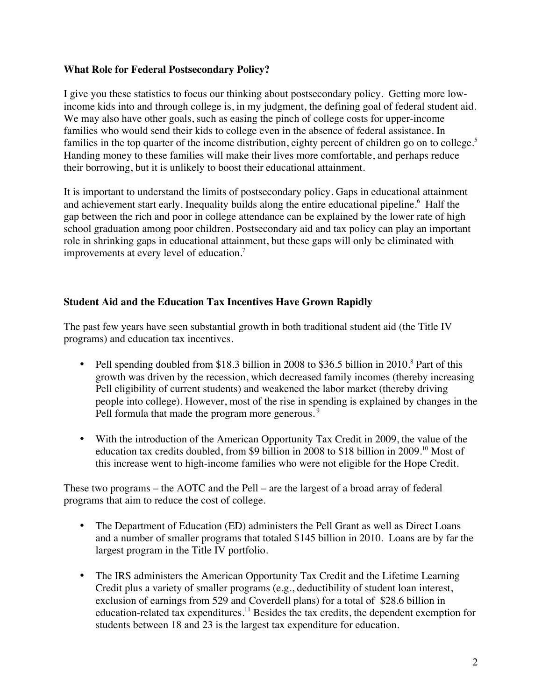### **What Role for Federal Postsecondary Policy?**

I give you these statistics to focus our thinking about postsecondary policy. Getting more lowincome kids into and through college is, in my judgment, the defining goal of federal student aid. We may also have other goals, such as easing the pinch of college costs for upper-income families who would send their kids to college even in the absence of federal assistance. In families in the top quarter of the income distribution, eighty percent of children go on to college.<sup>5</sup> Handing money to these families will make their lives more comfortable, and perhaps reduce their borrowing, but it is unlikely to boost their educational attainment.

It is important to understand the limits of postsecondary policy. Gaps in educational attainment and achievement start early. Inequality builds along the entire educational pipeline. <sup>6</sup> Half the gap between the rich and poor in college attendance can be explained by the lower rate of high school graduation among poor children. Postsecondary aid and tax policy can play an important role in shrinking gaps in educational attainment, but these gaps will only be eliminated with improvements at every level of education.<sup>7</sup>

### **Student Aid and the Education Tax Incentives Have Grown Rapidly**

The past few years have seen substantial growth in both traditional student aid (the Title IV programs) and education tax incentives.

- Pell spending doubled from \$18.3 billion in 2008 to \$36.5 billion in 2010.<sup>8</sup> Part of this growth was driven by the recession, which decreased family incomes (thereby increasing Pell eligibility of current students) and weakened the labor market (thereby driving people into college). However, most of the rise in spending is explained by changes in the Pell formula that made the program more generous.<sup>9</sup>
- With the introduction of the American Opportunity Tax Credit in 2009, the value of the education tax credits doubled, from \$9 billion in 2008 to \$18 billion in 2009.10 Most of this increase went to high-income families who were not eligible for the Hope Credit.

These two programs – the AOTC and the Pell – are the largest of a broad array of federal programs that aim to reduce the cost of college.

- The Department of Education (ED) administers the Pell Grant as well as Direct Loans and a number of smaller programs that totaled \$145 billion in 2010. Loans are by far the largest program in the Title IV portfolio.
- The IRS administers the American Opportunity Tax Credit and the Lifetime Learning Credit plus a variety of smaller programs (e.g., deductibility of student loan interest, exclusion of earnings from 529 and Coverdell plans) for a total of \$28.6 billion in education-related tax expenditures.<sup>11</sup> Besides the tax credits, the dependent exemption for students between 18 and 23 is the largest tax expenditure for education.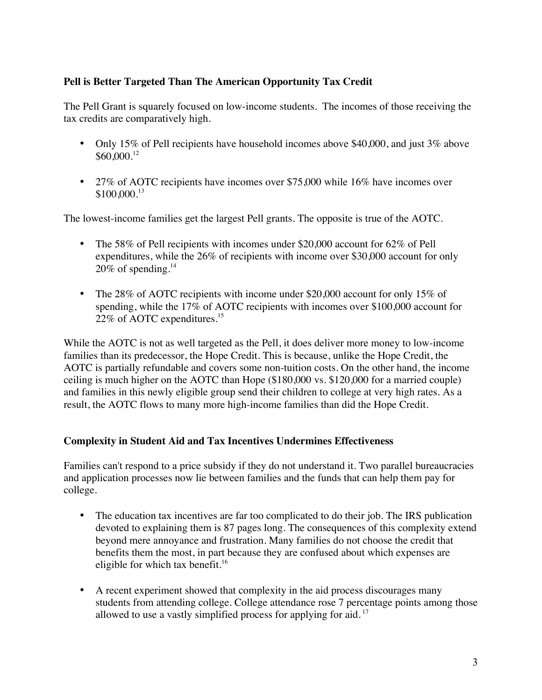# **Pell is Better Targeted Than The American Opportunity Tax Credit**

The Pell Grant is squarely focused on low-income students. The incomes of those receiving the tax credits are comparatively high.

- Only 15% of Pell recipients have household incomes above \$40,000, and just 3% above  $$60,000.<sup>12</sup>$
- 27% of AOTC recipients have incomes over \$75,000 while 16% have incomes over \$100,000.13

The lowest-income families get the largest Pell grants. The opposite is true of the AOTC.

- The 58% of Pell recipients with incomes under \$20,000 account for 62% of Pell expenditures, while the 26% of recipients with income over \$30,000 account for only  $20\%$  of spending.<sup>14</sup>
- The 28% of AOTC recipients with income under \$20,000 account for only 15% of spending, while the 17% of AOTC recipients with incomes over \$100,000 account for 22% of AOTC expenditures. 15

While the AOTC is not as well targeted as the Pell, it does deliver more money to low-income families than its predecessor, the Hope Credit. This is because, unlike the Hope Credit, the AOTC is partially refundable and covers some non-tuition costs. On the other hand, the income ceiling is much higher on the AOTC than Hope (\$180,000 vs. \$120,000 for a married couple) and families in this newly eligible group send their children to college at very high rates. As a result, the AOTC flows to many more high-income families than did the Hope Credit.

## **Complexity in Student Aid and Tax Incentives Undermines Effectiveness**

Families can't respond to a price subsidy if they do not understand it. Two parallel bureaucracies and application processes now lie between families and the funds that can help them pay for college.

- The education tax incentives are far too complicated to do their job. The IRS publication devoted to explaining them is 87 pages long. The consequences of this complexity extend beyond mere annoyance and frustration. Many families do not choose the credit that benefits them the most, in part because they are confused about which expenses are eligible for which tax benefit.<sup>16</sup>
- A recent experiment showed that complexity in the aid process discourages many students from attending college. College attendance rose 7 percentage points among those allowed to use a vastly simplified process for applying for aid.<sup>17</sup>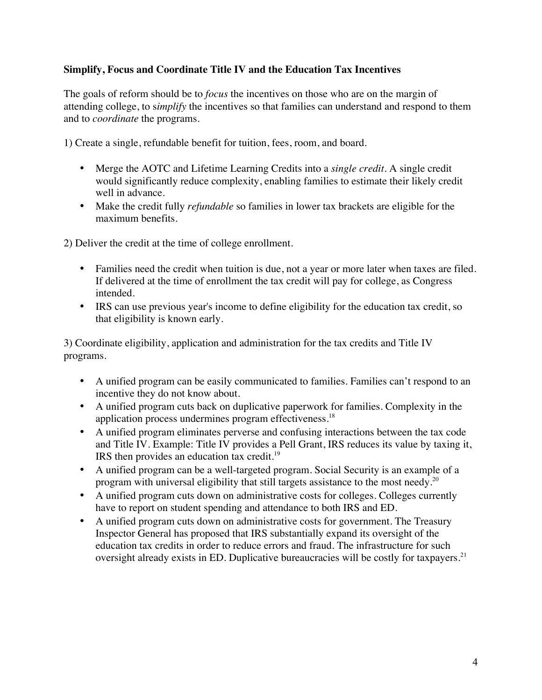## **Simplify, Focus and Coordinate Title IV and the Education Tax Incentives**

The goals of reform should be to *focus* the incentives on those who are on the margin of attending college, to s*implify* the incentives so that families can understand and respond to them and to *coordinate* the programs.

1) Create a single, refundable benefit for tuition, fees, room, and board.

- Merge the AOTC and Lifetime Learning Credits into a *single credit*. A single credit would significantly reduce complexity, enabling families to estimate their likely credit well in advance.
- Make the credit fully *refundable* so families in lower tax brackets are eligible for the maximum benefits.

2) Deliver the credit at the time of college enrollment.

- Families need the credit when tuition is due, not a year or more later when taxes are filed. If delivered at the time of enrollment the tax credit will pay for college, as Congress intended.
- IRS can use previous year's income to define eligibility for the education tax credit, so that eligibility is known early.

3) Coordinate eligibility, application and administration for the tax credits and Title IV programs.

- A unified program can be easily communicated to families. Families can't respond to an incentive they do not know about.
- A unified program cuts back on duplicative paperwork for families. Complexity in the application process undermines program effectiveness.18
- A unified program eliminates perverse and confusing interactions between the tax code and Title IV. Example: Title IV provides a Pell Grant, IRS reduces its value by taxing it, IRS then provides an education tax credit.19
- A unified program can be a well-targeted program. Social Security is an example of a program with universal eligibility that still targets assistance to the most needy.<sup>20</sup>
- A unified program cuts down on administrative costs for colleges. Colleges currently have to report on student spending and attendance to both IRS and ED.
- A unified program cuts down on administrative costs for government. The Treasury Inspector General has proposed that IRS substantially expand its oversight of the education tax credits in order to reduce errors and fraud. The infrastructure for such oversight already exists in ED. Duplicative bureaucracies will be costly for taxpayers.<sup>21</sup>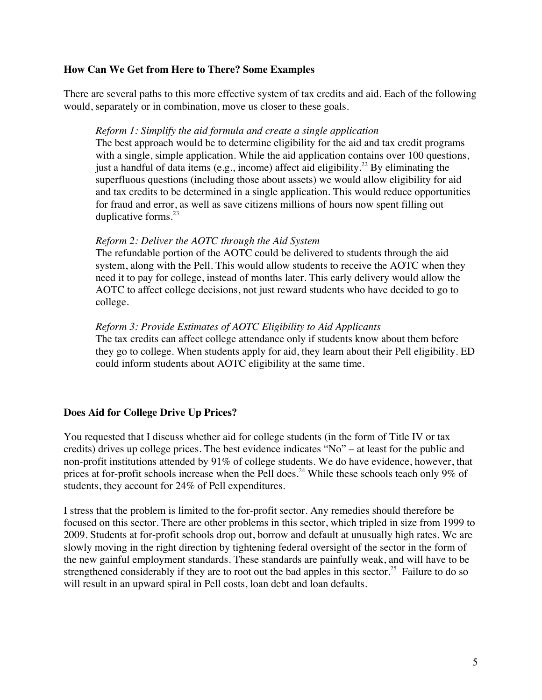### **How Can We Get from Here to There? Some Examples**

There are several paths to this more effective system of tax credits and aid. Each of the following would, separately or in combination, move us closer to these goals.

### *Reform 1: Simplify the aid formula and create a single application*

The best approach would be to determine eligibility for the aid and tax credit programs with a single, simple application. While the aid application contains over 100 questions, just a handful of data items (e.g., income) affect aid eligibility.<sup>22</sup> By eliminating the superfluous questions (including those about assets) we would allow eligibility for aid and tax credits to be determined in a single application. This would reduce opportunities for fraud and error, as well as save citizens millions of hours now spent filling out duplicative forms. $^{23}$ 

### *Reform 2: Deliver the AOTC through the Aid System*

The refundable portion of the AOTC could be delivered to students through the aid system, along with the Pell. This would allow students to receive the AOTC when they need it to pay for college, instead of months later. This early delivery would allow the AOTC to affect college decisions, not just reward students who have decided to go to college.

### *Reform 3: Provide Estimates of AOTC Eligibility to Aid Applicants*

The tax credits can affect college attendance only if students know about them before they go to college. When students apply for aid, they learn about their Pell eligibility. ED could inform students about AOTC eligibility at the same time.

## **Does Aid for College Drive Up Prices?**

You requested that I discuss whether aid for college students (in the form of Title IV or tax credits) drives up college prices. The best evidence indicates "No" – at least for the public and non-profit institutions attended by 91% of college students. We do have evidence, however, that prices at for-profit schools increase when the Pell does.<sup>24</sup> While these schools teach only 9% of students, they account for 24% of Pell expenditures.

I stress that the problem is limited to the for-profit sector. Any remedies should therefore be focused on this sector. There are other problems in this sector, which tripled in size from 1999 to 2009. Students at for-profit schools drop out, borrow and default at unusually high rates. We are slowly moving in the right direction by tightening federal oversight of the sector in the form of the new gainful employment standards. These standards are painfully weak, and will have to be strengthened considerably if they are to root out the bad apples in this sector.<sup>25</sup> Failure to do so will result in an upward spiral in Pell costs, loan debt and loan defaults.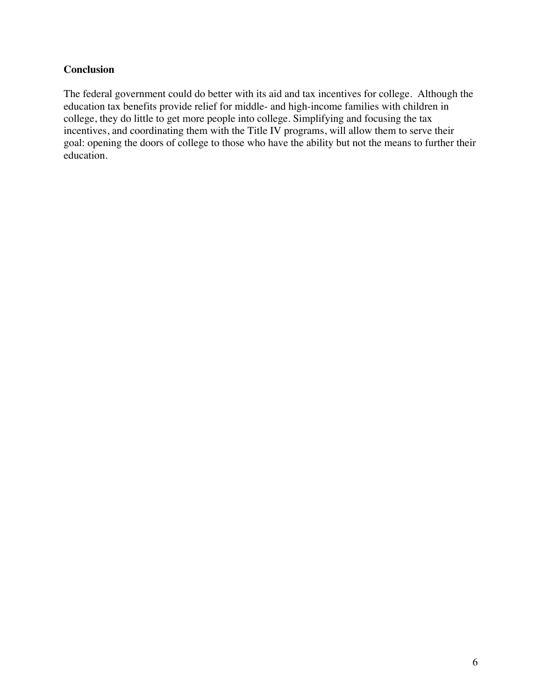## **Conclusion**

The federal government could do better with its aid and tax incentives for college. Although the education tax benefits provide relief for middle- and high-income families with children in college, they do little to get more people into college. Simplifying and focusing the tax incentives, and coordinating them with the Title IV programs, will allow them to serve their goal: opening the doors of college to those who have the ability but not the means to further their education.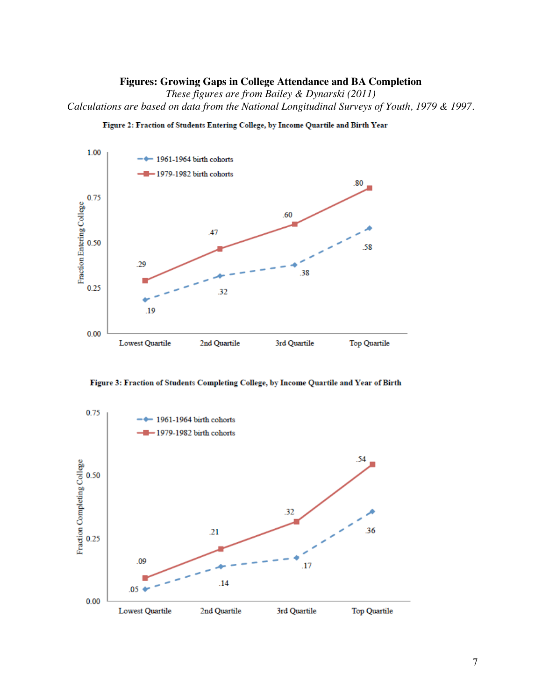#### **Figures: Growing Gaps in College Attendance and BA Completion**

*These figures are from Bailey & Dynarski (2011) Calculations are based on data from the National Longitudinal Surveys of Youth, 1979 & 1997.*



Figure 2: Fraction of Students Entering College, by Income Quartile and Birth Year



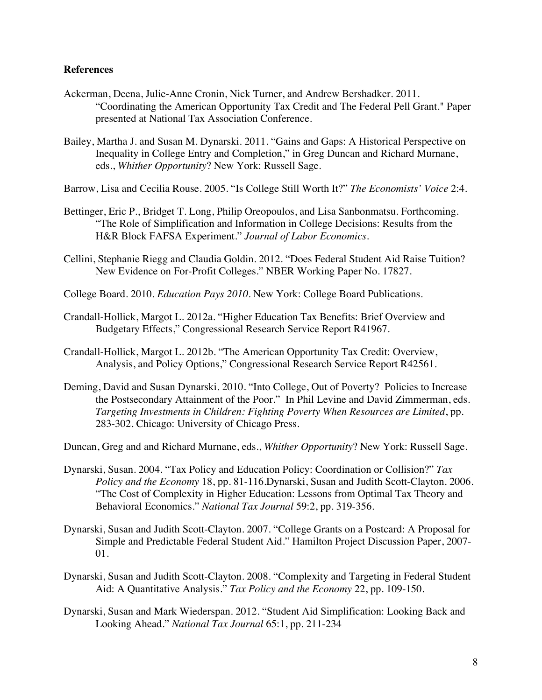#### **References**

- Ackerman, Deena, Julie-Anne Cronin, Nick Turner, and Andrew Bershadker. 2011. "Coordinating the American Opportunity Tax Credit and The Federal Pell Grant." Paper presented at National Tax Association Conference.
- Bailey, Martha J. and Susan M. Dynarski. 2011. "Gains and Gaps: A Historical Perspective on Inequality in College Entry and Completion," in Greg Duncan and Richard Murnane, eds., *Whither Opportunity*? New York: Russell Sage.
- Barrow, Lisa and Cecilia Rouse. 2005. "Is College Still Worth It?" *The Economists' Voice* 2:4.
- Bettinger, Eric P., Bridget T. Long, Philip Oreopoulos, and Lisa Sanbonmatsu. Forthcoming. "The Role of Simplification and Information in College Decisions: Results from the H&R Block FAFSA Experiment." *Journal of Labor Economics*.
- Cellini, Stephanie Riegg and Claudia Goldin. 2012. "Does Federal Student Aid Raise Tuition? New Evidence on For-Profit Colleges." NBER Working Paper No. 17827.
- College Board. 2010. *Education Pays 2010*. New York: College Board Publications.
- Crandall-Hollick, Margot L. 2012a. "Higher Education Tax Benefits: Brief Overview and Budgetary Effects," Congressional Research Service Report R41967.
- Crandall-Hollick, Margot L. 2012b. "The American Opportunity Tax Credit: Overview, Analysis, and Policy Options," Congressional Research Service Report R42561.
- Deming, David and Susan Dynarski. 2010. "Into College, Out of Poverty? Policies to Increase the Postsecondary Attainment of the Poor." In Phil Levine and David Zimmerman, eds. *Targeting Investments in Children: Fighting Poverty When Resources are Limited*, pp. 283-302. Chicago: University of Chicago Press.
- Duncan, Greg and and Richard Murnane, eds., *Whither Opportunity*? New York: Russell Sage.
- Dynarski, Susan. 2004. "Tax Policy and Education Policy: Coordination or Collision?" *Tax Policy and the Economy* 18, pp. 81-116.Dynarski, Susan and Judith Scott-Clayton. 2006. "The Cost of Complexity in Higher Education: Lessons from Optimal Tax Theory and Behavioral Economics." *National Tax Journal* 59:2, pp. 319-356.
- Dynarski, Susan and Judith Scott-Clayton. 2007. "College Grants on a Postcard: A Proposal for Simple and Predictable Federal Student Aid." Hamilton Project Discussion Paper, 2007- 01.
- Dynarski, Susan and Judith Scott-Clayton. 2008. "Complexity and Targeting in Federal Student Aid: A Quantitative Analysis." *Tax Policy and the Economy* 22, pp. 109-150.
- Dynarski, Susan and Mark Wiederspan. 2012. "Student Aid Simplification: Looking Back and Looking Ahead." *National Tax Journal* 65:1, pp. 211-234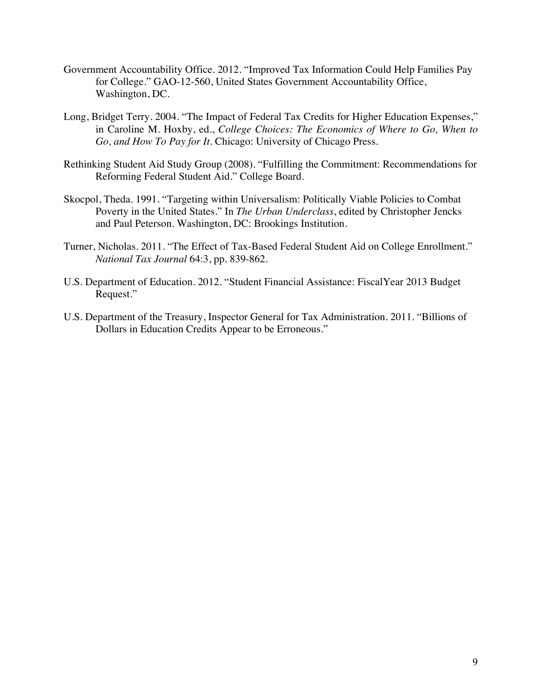- Government Accountability Office. 2012. "Improved Tax Information Could Help Families Pay for College." GAO-12-560, United States Government Accountability Office, Washington, DC.
- Long, Bridget Terry. 2004. "The Impact of Federal Tax Credits for Higher Education Expenses," in Caroline M. Hoxby, ed., *College Choices: The Economics of Where to Go, When to Go, and How To Pay for It*. Chicago: University of Chicago Press.
- Rethinking Student Aid Study Group (2008). "Fulfilling the Commitment: Recommendations for Reforming Federal Student Aid." College Board.
- Skocpol, Theda. 1991. "Targeting within Universalism: Politically Viable Policies to Combat Poverty in the United States." In *The Urban Underclass*, edited by Christopher Jencks and Paul Peterson. Washington, DC: Brookings Institution.
- Turner, Nicholas. 2011. "The Effect of Tax-Based Federal Student Aid on College Enrollment." *National Tax Journal* 64:3, pp. 839-862.
- U.S. Department of Education. 2012. "Student Financial Assistance: FiscalYear 2013 Budget Request."
- U.S. Department of the Treasury, Inspector General for Tax Administration. 2011. "Billions of Dollars in Education Credits Appear to be Erroneous."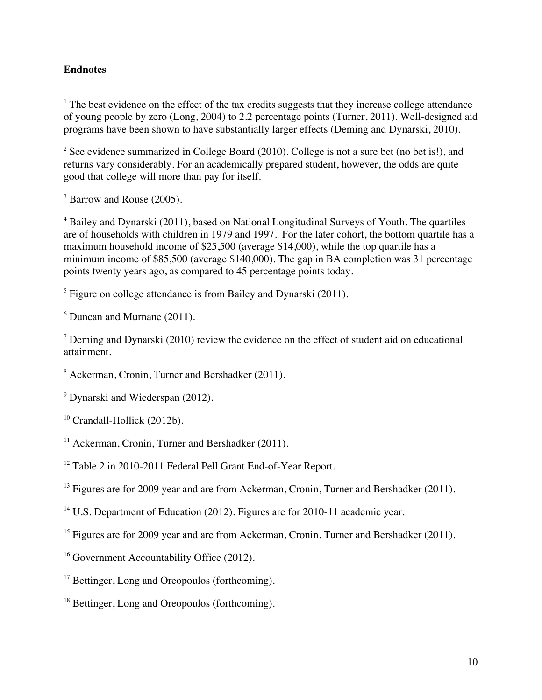## **Endnotes**

<sup>1</sup> The best evidence on the effect of the tax credits suggests that they increase college attendance of young people by zero (Long, 2004) to 2.2 percentage points (Turner, 2011). Well-designed aid programs have been shown to have substantially larger effects (Deming and Dynarski, 2010).

<sup>2</sup> See evidence summarized in College Board (2010). College is not a sure bet (no bet is!), and returns vary considerably. For an academically prepared student, however, the odds are quite good that college will more than pay for itself.

<sup>3</sup> Barrow and Rouse (2005).

<sup>4</sup> Bailey and Dynarski (2011), based on National Longitudinal Surveys of Youth. The quartiles are of households with children in 1979 and 1997. For the later cohort, the bottom quartile has a maximum household income of \$25,500 (average \$14,000), while the top quartile has a minimum income of \$85,500 (average \$140,000). The gap in BA completion was 31 percentage points twenty years ago, as compared to 45 percentage points today.

<sup>5</sup> Figure on college attendance is from Bailey and Dynarski (2011).

 $6$  Duncan and Murnane (2011).

 $\alpha$ <sup>7</sup> Deming and Dynarski (2010) review the evidence on the effect of student aid on educational attainment.

<sup>8</sup> Ackerman, Cronin, Turner and Bershadker (2011).

<sup>9</sup> Dynarski and Wiederspan (2012).

<sup>12</sup> Table 2 in 2010-2011 Federal Pell Grant End-of-Year Report.

<sup>13</sup> Figures are for 2009 year and are from Ackerman, Cronin, Turner and Bershadker (2011).

<sup>14</sup> U.S. Department of Education (2012). Figures are for 2010-11 academic vear.

<sup>15</sup> Figures are for 2009 year and are from Ackerman, Cronin, Turner and Bershadker (2011).

<sup>16</sup> Government Accountability Office (2012).

<sup>17</sup> Bettinger, Long and Oreopoulos (forthcoming).

<sup>18</sup> Bettinger, Long and Oreopoulos (forthcoming).

<sup>&</sup>lt;sup>10</sup> Crandall-Hollick (2012b).

 $11$  Ackerman, Cronin, Turner and Bershadker (2011).